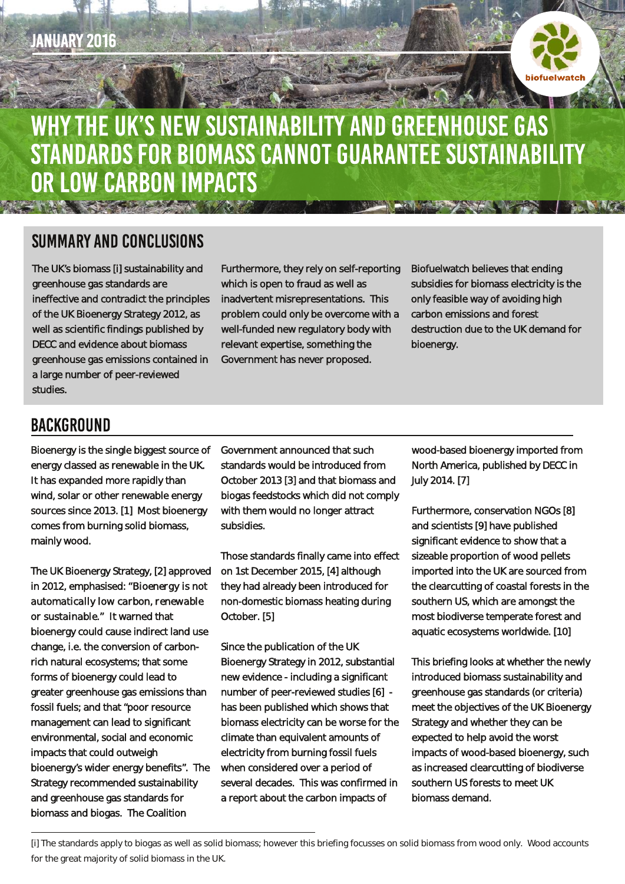

## WHY THE UK'S NEW SUSTAINABILITY AND GREENHOUSE GAS STANDARDS FOR BIOMASS CANNOT GUARANTEE SUSTAINABILITY OR LOW CARBON IMPACTS TANK SECTIONS A CONTRACTOR OF THE PARTY

## **SUMMARY AND CONCLUSIONS**

The UK's biomass [i] sustainability and greenhouse gas standards are ineffective and contradict the principles of the UK Bioenergy Strategy 2012, as well as scientific findings published by DECC and evidence about biomass greenhouse gas emissions contained in a large number of peer-reviewed studies.

Furthermore, they rely on self-reporting which is open to fraud as well as inadvertent misrepresentations. This problem could only be overcome with a well-funded new regulatory body with relevant expertise, something the Government has never proposed.

Biofuelwatch believes that ending subsidies for biomass electricity is the only feasible way of avoiding high carbon emissions and forest destruction due to the UK demand for bioenergy.

## **BACKGROUND**

Bioenergy is the single biggest source of energy classed as renewable in the UK. It has expanded more rapidly than wind, solar or other renewable energy sources since 2013. [1] Most bioenergy comes from burning solid biomass, mainly wood.

The UK Bioenergy Strategy, [2] approved in 2012, emphasised: *"Bioenergy is not automatically low carbon, renewable or sustainable."* It warned that bioenergy could cause indirect land use change, i.e. the conversion of carbonrich natural ecosystems; that some forms of bioenergy could lead to greater greenhouse gas emissions than fossil fuels; and that "poor resource management can lead to significant environmental, social and economic impacts that could outweigh bioenergy's wider energy benefits". The Strategy recommended sustainability and greenhouse gas standards for biomass and biogas. The Coalition

Government announced that such standards would be introduced from October 2013 [3] and that biomass and biogas feedstocks which did not comply with them would no longer attract subsidies.

Those standards finally came into effect on 1st December 2015, [4] although they had already been introduced for non-domestic biomass heating during October. [5]

Since the publication of the UK Bioenergy Strategy in 2012, substantial new evidence - including a significant number of peer-reviewed studies [6] has been published which shows that biomass electricity can be worse for the climate than equivalent amounts of electricity from burning fossil fuels when considered over a period of several decades. This was confirmed in a report about the carbon impacts of

wood-based bioenergy imported from North America, published by DECC in July 2014. [7]

Furthermore, conservation NGOs [8] and scientists [9] have published significant evidence to show that a sizeable proportion of wood pellets imported into the UK are sourced from the clearcutting of coastal forests in the southern US, which are amongst the most biodiverse temperate forest and aquatic ecosystems worldwide. [10]

This briefing looks at whether the newly introduced biomass sustainability and greenhouse gas standards (or criteria) meet the objectives of the UK Bioenergy Strategy and whether they can be expected to help avoid the worst impacts of wood-based bioenergy, such as increased clearcutting of biodiverse southern US forests to meet UK biomass demand.

[i] The standards apply to biogas as well as solid biomass; however this briefing focusses on solid biomass from wood only. Wood accounts for the great majority of solid biomass in the UK.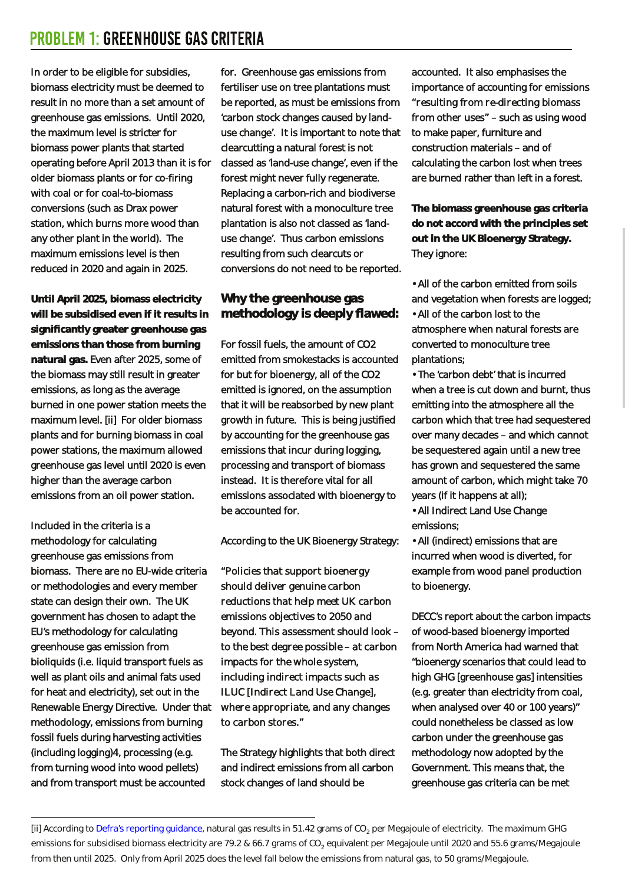In order to be eligible for subsidies, biomass electricity must be deemed to result in no more than a set amount of greenhouse gas emissions. Until 2020, the maximum level is stricter for biomass power plants that started operating before April 2013 than it is for older biomass plants or for co-firing with coal or for coal-to-biomass conversions (such as Drax power station, which burns more wood than any other plant in the world). The maximum emissions level is then reduced in 2020 and again in 2025.

**Until April 2025, biomass electricity will be subsidised even if it results in significantly greater greenhouse gas emissions than those from burning natural gas.** Even after 2025, some of the biomass may still result in greater emissions, as long as the average burned in one power station meets the maximum level. [ii] For older biomass plants and for burning biomass in coal power stations, the maximum allowed greenhouse gas level until 2020 is even higher than the average carbon emissions from an oil power station.

Included in the criteria is a methodology for calculating greenhouse gas emissions from biomass. There are no EU-wide criteria or methodologies and every member state can design their own. The UK government has chosen to adapt the EU's methodology for calculating greenhouse gas emission from bioliquids (i.e. liquid transport fuels as well as plant oils and animal fats used for heat and electricity), set out in the Renewable Energy Directive. Under that methodology, emissions from burning fossil fuels during harvesting activities (including logging)4, processing (e.g. from turning wood into wood pellets) and from transport must be accounted

for. Greenhouse gas emissions from fertiliser use on tree plantations must be reported, as must be emissions from 'carbon stock changes caused by landuse change'. It is important to note that clearcutting a natural forest is not classed as 'land-use change', even if the forest might never fully regenerate. Replacing a carbon-rich and biodiverse natural forest with a monoculture tree plantation is also not classed as 'landuse change'. Thus carbon emissions resulting from such clearcuts or conversions do not need to be reported.

### **Why the greenhouse gas methodology is deeply flawed:**

For fossil fuels, the amount of CO2 emitted from smokestacks is accounted for but for bioenergy, all of the CO2 emitted is ignored, on the assumption that it will be reabsorbed by new plant growth in future. This is being justified by accounting for the greenhouse gas emissions that incur during logging, processing and transport of biomass instead. It is therefore vital for all emissions associated with bioenergy to be accounted for.

According to the UK Bioenergy Strategy:

*"Policies that support bioenergy should deliver genuine carbon reductions that help meet UK carbon emissions objectives to 2050 and beyond. This assessment should look – to the best degree possible – at carbon impacts for the whole system, including indirect impacts such as ILUC [Indirect Land Use Change], where appropriate, and any changes to carbon stores."*

The Strategy highlights that both direct and indirect emissions from all carbon stock changes of land should be

accounted. It also emphasises the importance of accounting for emissions *"resulting from re-directing biomass from other uses"* – such as using wood to make paper, furniture and construction materials – and of calculating the carbon lost when trees are burned rather than left in a forest.

**The biomass greenhouse gas criteria do not accord with the principles set out in the UK Bioenergy Strategy.** They ignore:

• All of the carbon emitted from soils and vegetation when forests are logged; • All of the carbon lost to the atmosphere when natural forests are converted to monoculture tree plantations;

• The 'carbon debt' that is incurred when a tree is cut down and burnt, thus emitting into the atmosphere all the carbon which that tree had sequestered over many decades – and which cannot be sequestered again until a new tree has grown and sequestered the same amount of carbon, which might take 70 years (if it happens at all);

• All Indirect Land Use Change emissions;

• All (indirect) emissions that are incurred when wood is diverted, for example from wood panel production to bioenergy.

DECC's report about the carbon impacts of wood-based bioenergy imported from North America had warned that "bioenergy scenarios that could lead to high GHG [greenhouse gas] intensities (e.g. greater than electricity from coal, when analysed over 40 or 100 years)" could nonetheless be classed as low carbon under the greenhouse gas methodology now adopted by the Government. This means that, the greenhouse gas criteria can be met

<sup>[</sup>ii] According to Defra's reporting [guidance,](http://www.ukconversionfactorscarbonsmart.co.uk/) natural gas results in 51.42 grams of CO<sub>2</sub> per Megajoule of electricity. The maximum GHG emissions for subsidised biomass electricity are 79.2 & 66.7 grams of CO<sub>2</sub> equivalent per Megajoule until 2020 and 55.6 grams/Megajoule from then until 2025. Only from April 2025 does the level fall below the emissions from natural gas, to 50 grams/Megajoule.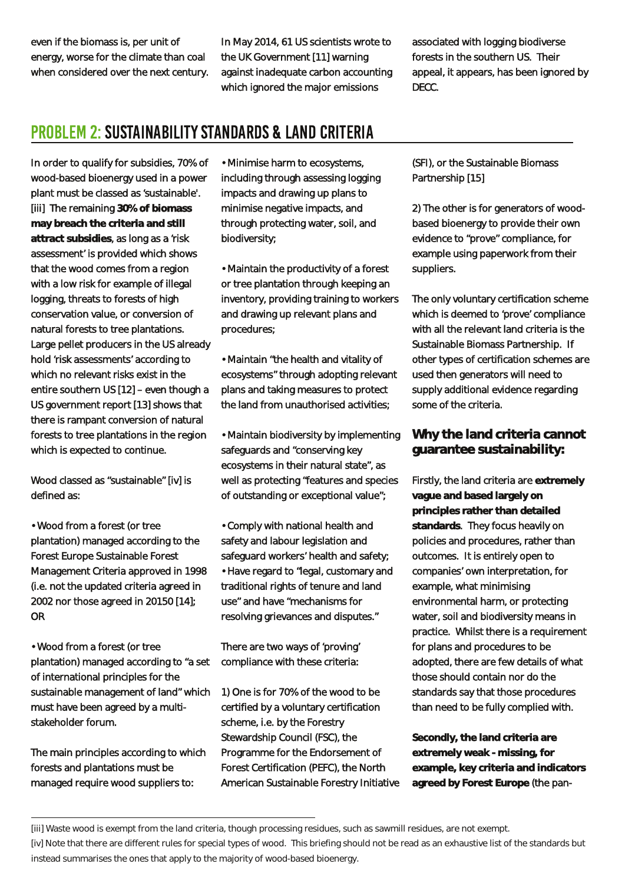even if the biomass is, per unit of energy, worse for the climate than coal when considered over the next century. In May 2014, 61 US scientists wrote to the UK Government [11] warning against inadequate carbon accounting which ignored the major emissions

associated with logging biodiverse forests in the southern US. Their appeal, it appears, has been ignored by DECC.

# **PROBLEM 2: SUSTAINABILITY STANDARDS & LAND CRITERIA**

In order to qualify for subsidies, 70% of wood-based bioenergy used in a power plant must be classed as 'sustainable'. [iii] The remaining **30% of biomass may breach the criteria and still attract subsidies**, as long as a 'risk assessment' is provided which shows that the wood comes from a region with a low risk for example of illegal logging, threats to forests of high conservation value, or conversion of natural forests to tree plantations. Large pellet producers in the US already hold 'risk assessments' according to which no relevant risks exist in the entire southern US [12] – even though a US government report [13] shows that there is rampant conversion of natural forests to tree plantations in the region which is expected to continue.

Wood classed as "sustainable" [iv] is defined as:

• Wood from a forest (or tree plantation) managed according to the Forest Europe Sustainable Forest Management Criteria approved in 1998 (i.e. not the updated criteria agreed in 2002 nor those agreed in 20150 [14]; OR

• Wood from a forest (or tree plantation) managed according to "a set of international principles for the sustainable management of land' which must have been agreed by a multistakeholder forum.

The main principles according to which forests and plantations must be managed require wood suppliers to:

• Minimise harm to ecosystems, including through assessing logging impacts and drawing up plans to minimise negative impacts, and through protecting water, soil, and biodiversity;

• Maintain the productivity of a forest or tree plantation through keeping an inventory, providing training to workers and drawing up relevant plans and procedures;

• Maintain "the health and vitality of ecosystems" through adopting relevant plans and taking measures to protect the land from unauthorised activities;

• Maintain biodiversity by implementing safeguards and "conserving key ecosystems in their natural state", as well as protecting "features and species of outstanding or exceptional value";

• Comply with national health and safety and labour legislation and safeguard workers' health and safety; • Have regard to "legal, customary and traditional rights of tenure and land use" and have "mechanisms for resolving grievances and disputes."

There are two ways of 'proving' compliance with these criteria:

1) One is for 70% of the wood to be certified by a voluntary certification scheme, i.e. by the Forestry Stewardship Council (FSC), the Programme for the Endorsement of Forest Certification (PEFC), the North American Sustainable Forestry Initiative (SFI), or the Sustainable Biomass Partnership [15]

2) The other is for generators of woodbased bioenergy to provide their own evidence to "prove" compliance, for example using paperwork from their suppliers.

The only voluntary certification scheme which is deemed to 'prove' compliance with all the relevant land criteria is the Sustainable Biomass Partnership. If other types of certification schemes are used then generators will need to supply additional evidence regarding some of the criteria.

**Why the land criteria cannot guarantee sustainability:**

Firstly, the land criteria are **extremely vague and based largely on principles rather than detailed standards**. They focus heavily on policies and procedures, rather than outcomes. It is entirely open to companies' own interpretation, for example, what minimising environmental harm, or protecting water, soil and biodiversity means in practice. Whilst there is a requirement for plans and procedures to be adopted, there are few details of what those should contain nor do the standards say that those procedures than need to be fully complied with.

**Secondly, the land criteria are extremely weak - missing, for example, key criteria and indicators agreed by Forest Europe** (the pan-

<sup>[</sup>iii] Waste wood is exempt from the land criteria, though processing residues, such as sawmill residues, are not exempt.

<sup>[</sup>iv] Note that there are different rules for special types of wood. This briefing should not be read as an exhaustive list of the standards but instead summarises the ones that apply to the majority of wood-based bioenergy.